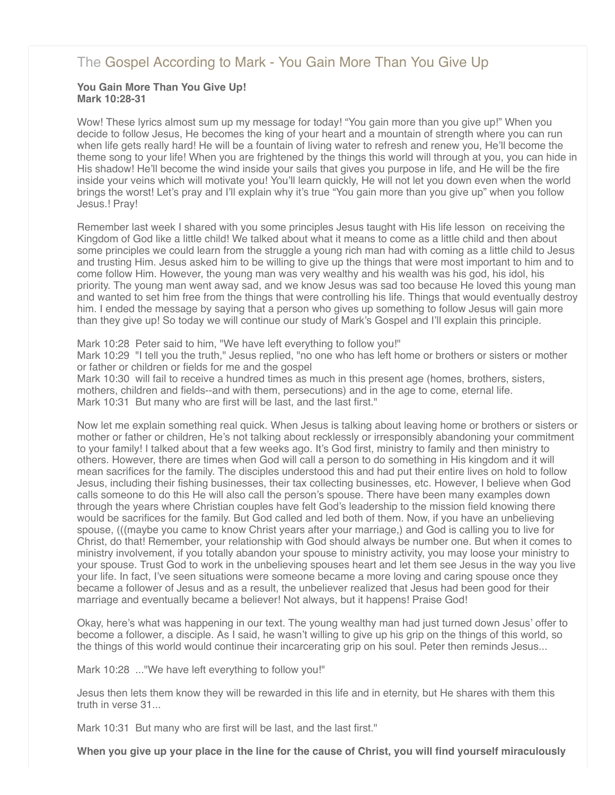# [The Gospel According to Mark - You Gain More Than You Give Up](http://northshorechurch.net/resources/sermons/sermon-notes/452-the-gospel-according-to-mark-you-gain-more-than-you-give-up)

#### **You Gain More Than You Give Up! Mark 10:28-31**

Wow! These lyrics almost sum up my message for today! "You gain more than you give up!" When you decide to follow Jesus, He becomes the king of your heart and a mountain of strength where you can run when life gets really hard! He will be a fountain of living water to refresh and renew you, He'll become the theme song to your life! When you are frightened by the things this world will through at you, you can hide in His shadow! He'll become the wind inside your sails that gives you purpose in life, and He will be the fire inside your veins which will motivate you! You'll learn quickly, He will not let you down even when the world brings the worst! Let's pray and I'll explain why it's true "You gain more than you give up" when you follow Jesus.! Pray!

Remember last week I shared with you some principles Jesus taught with His life lesson on receiving the Kingdom of God like a little child! We talked about what it means to come as a little child and then about some principles we could learn from the struggle a young rich man had with coming as a little child to Jesus and trusting Him. Jesus asked him to be willing to give up the things that were most important to him and to come follow Him. However, the young man was very wealthy and his wealth was his god, his idol, his priority. The young man went away sad, and we know Jesus was sad too because He loved this young man and wanted to set him free from the things that were controlling his life. Things that would eventually destroy him. I ended the message by saying that a person who gives up something to follow Jesus will gain more than they give up! So today we will continue our study of Mark's Gospel and I'll explain this principle.

Mark 10:28 Peter said to him, "We have left everything to follow you!"

Mark 10:29 "I tell you the truth," Jesus replied, "no one who has left home or brothers or sisters or mother or father or children or fields for me and the gospel

Mark 10:30 will fail to receive a hundred times as much in this present age (homes, brothers, sisters, mothers, children and fields--and with them, persecutions) and in the age to come, eternal life. Mark 10:31 But many who are first will be last, and the last first."

Now let me explain something real quick. When Jesus is talking about leaving home or brothers or sisters or mother or father or children, He's not talking about recklessly or irresponsibly abandoning your commitment to your family! I talked about that a few weeks ago. It's God first, ministry to family and then ministry to others. However, there are times when God will call a person to do something in His kingdom and it will mean sacrifices for the family. The disciples understood this and had put their entire lives on hold to follow Jesus, including their fishing businesses, their tax collecting businesses, etc. However, I believe when God calls someone to do this He will also call the person's spouse. There have been many examples down through the years where Christian couples have felt God's leadership to the mission field knowing there would be sacrifices for the family. But God called and led both of them. Now, if you have an unbelieving spouse, (((maybe you came to know Christ years after your marriage,) and God is calling you to live for Christ, do that! Remember, your relationship with God should always be number one. But when it comes to ministry involvement, if you totally abandon your spouse to ministry activity, you may loose your ministry to your spouse. Trust God to work in the unbelieving spouses heart and let them see Jesus in the way you live your life. In fact, I've seen situations were someone became a more loving and caring spouse once they became a follower of Jesus and as a result, the unbeliever realized that Jesus had been good for their marriage and eventually became a believer! Not always, but it happens! Praise God!

Okay, here's what was happening in our text. The young wealthy man had just turned down Jesus' offer to become a follower, a disciple. As I said, he wasn't willing to give up his grip on the things of this world, so the things of this world would continue their incarcerating grip on his soul. Peter then reminds Jesus...

Mark 10:28 ..."We have left everything to follow you!"

Jesus then lets them know they will be rewarded in this life and in eternity, but He shares with them this truth in verse 31...

Mark 10:31 But many who are first will be last, and the last first."

**When you give up your place in the line for the cause of Christ, you will find yourself miraculously**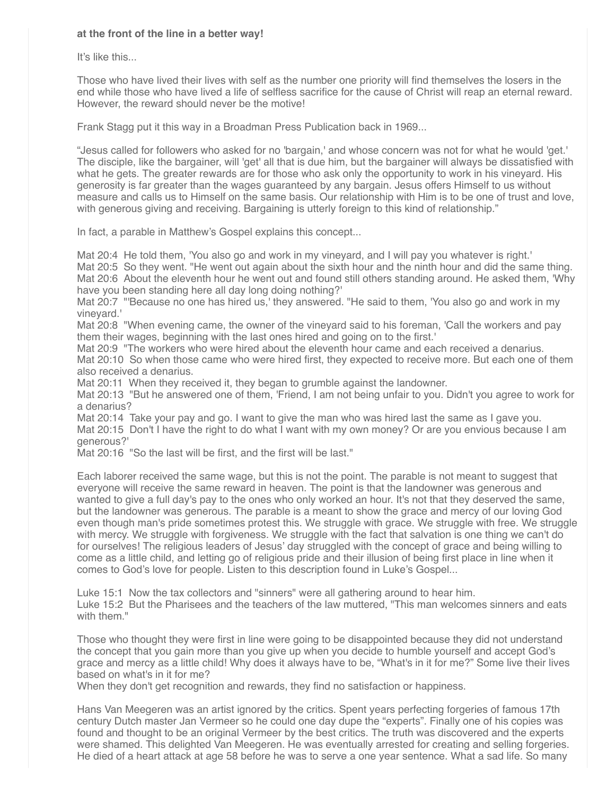## **at the front of the line in a better way!**

It's like this...

Those who have lived their lives with self as the number one priority will find themselves the losers in the end while those who have lived a life of selfless sacrifice for the cause of Christ will reap an eternal reward. However, the reward should never be the motive!

Frank Stagg put it this way in a Broadman Press Publication back in 1969...

"Jesus called for followers who asked for no 'bargain,' and whose concern was not for what he would 'get.' The disciple, like the bargainer, will 'get' all that is due him, but the bargainer will always be dissatisfied with what he gets. The greater rewards are for those who ask only the opportunity to work in his vineyard. His generosity is far greater than the wages guaranteed by any bargain. Jesus offers Himself to us without measure and calls us to Himself on the same basis. Our relationship with Him is to be one of trust and love, with generous giving and receiving. Bargaining is utterly foreign to this kind of relationship."

In fact, a parable in Matthew's Gospel explains this concept...

Mat 20:4 He told them, 'You also go and work in my vineyard, and I will pay you whatever is right.' Mat 20:5 So they went. "He went out again about the sixth hour and the ninth hour and did the same thing. Mat 20:6 About the eleventh hour he went out and found still others standing around. He asked them, 'Why have you been standing here all day long doing nothing?'

Mat 20:7 "'Because no one has hired us,' they answered. "He said to them, 'You also go and work in my vineyard.'

Mat 20:8 "When evening came, the owner of the vineyard said to his foreman, 'Call the workers and pay them their wages, beginning with the last ones hired and going on to the first.'

Mat 20:9 "The workers who were hired about the eleventh hour came and each received a denarius. Mat 20:10 So when those came who were hired first, they expected to receive more. But each one of them also received a denarius.

Mat 20:11 When they received it, they began to grumble against the landowner.

Mat 20:13 "But he answered one of them, 'Friend, I am not being unfair to you. Didn't you agree to work for a denarius?

Mat 20:14 Take your pay and go. I want to give the man who was hired last the same as I gave you. Mat 20:15 Don't I have the right to do what I want with my own money? Or are you envious because I am generous?'

Mat 20:16 "So the last will be first, and the first will be last."

Each laborer received the same wage, but this is not the point. The parable is not meant to suggest that everyone will receive the same reward in heaven. The point is that the landowner was generous and wanted to give a full day's pay to the ones who only worked an hour. It's not that they deserved the same, but the landowner was generous. The parable is a meant to show the grace and mercy of our loving God even though man's pride sometimes protest this. We struggle with grace. We struggle with free. We struggle with mercy. We struggle with forgiveness. We struggle with the fact that salvation is one thing we can't do for ourselves! The religious leaders of Jesus' day struggled with the concept of grace and being willing to come as a little child, and letting go of religious pride and their illusion of being first place in line when it comes to God's love for people. Listen to this description found in Luke's Gospel...

Luke 15:1 Now the tax collectors and "sinners" were all gathering around to hear him. Luke 15:2 But the Pharisees and the teachers of the law muttered, "This man welcomes sinners and eats with them<sup>"</sup>

Those who thought they were first in line were going to be disappointed because they did not understand the concept that you gain more than you give up when you decide to humble yourself and accept God's grace and mercy as a little child! Why does it always have to be, "What's in it for me?" Some live their lives based on what's in it for me?

When they don't get recognition and rewards, they find no satisfaction or happiness.

Hans Van Meegeren was an artist ignored by the critics. Spent years perfecting forgeries of famous 17th century Dutch master Jan Vermeer so he could one day dupe the "experts". Finally one of his copies was found and thought to be an original Vermeer by the best critics. The truth was discovered and the experts were shamed. This delighted Van Meegeren. He was eventually arrested for creating and selling forgeries. He died of a heart attack at age 58 before he was to serve a one year sentence. What a sad life. So many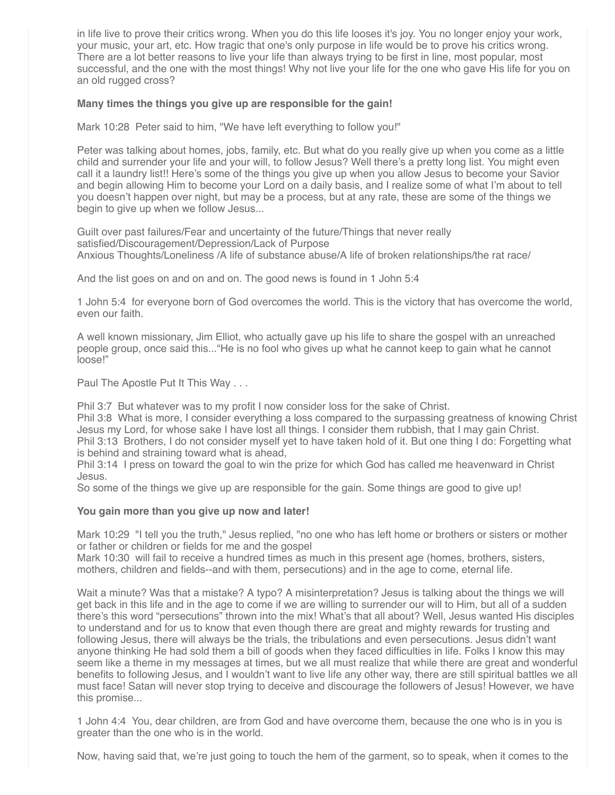in life live to prove their critics wrong. When you do this life looses it's joy. You no longer enjoy your work, your music, your art, etc. How tragic that one's only purpose in life would be to prove his critics wrong. There are a lot better reasons to live your life than always trying to be first in line, most popular, most successful, and the one with the most things! Why not live your life for the one who gave His life for you on an old rugged cross?

## **Many times the things you give up are responsible for the gain!**

Mark 10:28 Peter said to him, "We have left everything to follow you!"

Peter was talking about homes, jobs, family, etc. But what do you really give up when you come as a little child and surrender your life and your will, to follow Jesus? Well there's a pretty long list. You might even call it a laundry list!! Here's some of the things you give up when you allow Jesus to become your Savior and begin allowing Him to become your Lord on a daily basis, and I realize some of what I'm about to tell you doesn't happen over night, but may be a process, but at any rate, these are some of the things we begin to give up when we follow Jesus...

Guilt over past failures/Fear and uncertainty of the future/Things that never really satisfied/Discouragement/Depression/Lack of Purpose Anxious Thoughts/Loneliness /A life of substance abuse/A life of broken relationships/the rat race/

And the list goes on and on and on. The good news is found in 1 John 5:4

1 John 5:4 for everyone born of God overcomes the world. This is the victory that has overcome the world, even our faith.

A well known missionary, Jim Elliot, who actually gave up his life to share the gospel with an unreached people group, once said this..."He is no fool who gives up what he cannot keep to gain what he cannot loose!"

Paul The Apostle Put It This Way . . .

Phil 3:7 But whatever was to my profit I now consider loss for the sake of Christ.

Phil 3:8 What is more, I consider everything a loss compared to the surpassing greatness of knowing Christ Jesus my Lord, for whose sake I have lost all things. I consider them rubbish, that I may gain Christ. Phil 3:13 Brothers, I do not consider myself yet to have taken hold of it. But one thing I do: Forgetting what is behind and straining toward what is ahead,

Phil 3:14 I press on toward the goal to win the prize for which God has called me heavenward in Christ Jesus.

So some of the things we give up are responsible for the gain. Some things are good to give up!

#### **You gain more than you give up now and later!**

Mark 10:29 "I tell you the truth," Jesus replied, "no one who has left home or brothers or sisters or mother or father or children or fields for me and the gospel

Mark 10:30 will fail to receive a hundred times as much in this present age (homes, brothers, sisters, mothers, children and fields--and with them, persecutions) and in the age to come, eternal life.

Wait a minute? Was that a mistake? A typo? A misinterpretation? Jesus is talking about the things we will get back in this life and in the age to come if we are willing to surrender our will to Him, but all of a sudden there's this word "persecutions" thrown into the mix! What's that all about? Well, Jesus wanted His disciples to understand and for us to know that even though there are great and mighty rewards for trusting and following Jesus, there will always be the trials, the tribulations and even persecutions. Jesus didn't want anyone thinking He had sold them a bill of goods when they faced difficulties in life. Folks I know this may seem like a theme in my messages at times, but we all must realize that while there are great and wonderful benefits to following Jesus, and I wouldn't want to live life any other way, there are still spiritual battles we all must face! Satan will never stop trying to deceive and discourage the followers of Jesus! However, we have this promise...

1 John 4:4 You, dear children, are from God and have overcome them, because the one who is in you is greater than the one who is in the world.

Now, having said that, we're just going to touch the hem of the garment, so to speak, when it comes to the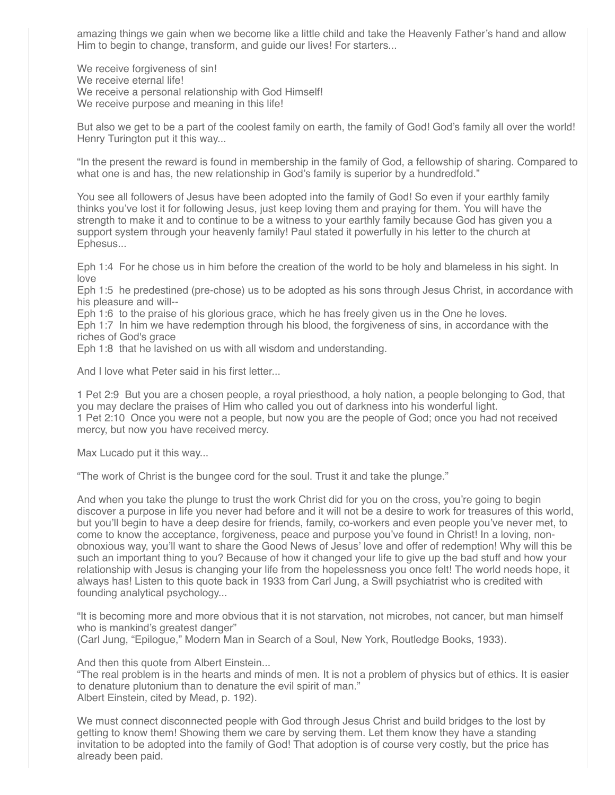amazing things we gain when we become like a little child and take the Heavenly Father's hand and allow Him to begin to change, transform, and guide our lives! For starters...

We receive forgiveness of sin! We receive eternal life! We receive a personal relationship with God Himself! We receive purpose and meaning in this life!

But also we get to be a part of the coolest family on earth, the family of God! God's family all over the world! Henry Turington put it this way...

"In the present the reward is found in membership in the family of God, a fellowship of sharing. Compared to what one is and has, the new relationship in God's family is superior by a hundredfold."

You see all followers of Jesus have been adopted into the family of God! So even if your earthly family thinks you've lost it for following Jesus, just keep loving them and praying for them. You will have the strength to make it and to continue to be a witness to your earthly family because God has given you a support system through your heavenly family! Paul stated it powerfully in his letter to the church at Ephesus...

Eph 1:4 For he chose us in him before the creation of the world to be holy and blameless in his sight. In love

Eph 1:5 he predestined (pre-chose) us to be adopted as his sons through Jesus Christ, in accordance with his pleasure and will--

Eph 1:6 to the praise of his glorious grace, which he has freely given us in the One he loves.

Eph 1:7 In him we have redemption through his blood, the forgiveness of sins, in accordance with the riches of God's grace

Eph 1:8 that he lavished on us with all wisdom and understanding.

And I love what Peter said in his first letter...

1 Pet 2:9 But you are a chosen people, a royal priesthood, a holy nation, a people belonging to God, that you may declare the praises of Him who called you out of darkness into his wonderful light. 1 Pet 2:10 Once you were not a people, but now you are the people of God; once you had not received mercy, but now you have received mercy.

Max Lucado put it this way...

"The work of Christ is the bungee cord for the soul. Trust it and take the plunge."

And when you take the plunge to trust the work Christ did for you on the cross, you're going to begin discover a purpose in life you never had before and it will not be a desire to work for treasures of this world, but you'll begin to have a deep desire for friends, family, co-workers and even people you've never met, to come to know the acceptance, forgiveness, peace and purpose you've found in Christ! In a loving, nonobnoxious way, you'll want to share the Good News of Jesus' love and offer of redemption! Why will this be such an important thing to you? Because of how it changed your life to give up the bad stuff and how your relationship with Jesus is changing your life from the hopelessness you once felt! The world needs hope, it always has! Listen to this quote back in 1933 from Carl Jung, a Swill psychiatrist who is credited with founding analytical psychology...

"It is becoming more and more obvious that it is not starvation, not microbes, not cancer, but man himself who is mankind's greatest danger"

(Carl Jung, "Epilogue," Modern Man in Search of a Soul, New York, Routledge Books, 1933).

And then this quote from Albert Einstein...

"The real problem is in the hearts and minds of men. It is not a problem of physics but of ethics. It is easier to denature plutonium than to denature the evil spirit of man." Albert Einstein, cited by Mead, p. 192).

We must connect disconnected people with God through Jesus Christ and build bridges to the lost by getting to know them! Showing them we care by serving them. Let them know they have a standing invitation to be adopted into the family of God! That adoption is of course very costly, but the price has already been paid.